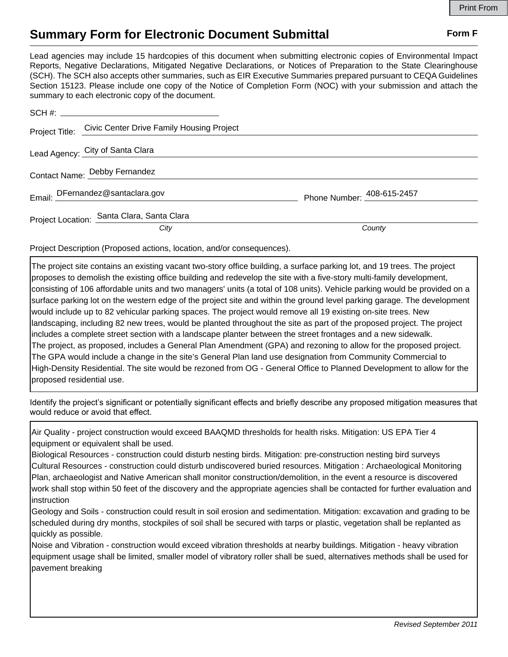## **Summary Form for Electronic Document Submittal Form F Form F**

Lead agencies may include 15 hardcopies of this document when submitting electronic copies of Environmental Impact Reports, Negative Declarations, Mitigated Negative Declarations, or Notices of Preparation to the State Clearinghouse (SCH). The SCH also accepts other summaries, such as EIR Executive Summaries prepared pursuant to CEQA Guidelines Section 15123. Please include one copy of the Notice of Completion Form (NOC) with your submission and attach the summary to each electronic copy of the document.

|  | Project Title: Civic Center Drive Family Housing Project |                            |
|--|----------------------------------------------------------|----------------------------|
|  | Lead Agency: City of Santa Clara                         |                            |
|  | Contact Name: Debby Fernandez                            |                            |
|  | Email: DFernandez@santaclara.gov                         | Phone Number: 408-615-2457 |
|  | Project Location: Santa Clara, Santa Clara               |                            |
|  | City                                                     | County                     |

Project Description (Proposed actions, location, and/or consequences).

The project site contains an existing vacant two-story office building, a surface parking lot, and 19 trees. The project proposes to demolish the existing office building and redevelop the site with a five-story multi-family development, consisting of 106 affordable units and two managers' units (a total of 108 units). Vehicle parking would be provided on a surface parking lot on the western edge of the project site and within the ground level parking garage. The development would include up to 82 vehicular parking spaces. The project would remove all 19 existing on-site trees. New landscaping, including 82 new trees, would be planted throughout the site as part of the proposed project. The project includes a complete street section with a landscape planter between the street frontages and a new sidewalk. The project, as proposed, includes a General Plan Amendment (GPA) and rezoning to allow for the proposed project. The GPA would include a change in the site's General Plan land use designation from Community Commercial to High-Density Residential. The site would be rezoned from OG - General Office to Planned Development to allow for the proposed residential use.

Identify the project's significant or potentially significant effects and briefly describe any proposed mitigation measures that would reduce or avoid that effect.

Air Quality - project construction would exceed BAAQMD thresholds for health risks. Mitigation: US EPA Tier 4 equipment or equivalent shall be used.

Biological Resources - construction could disturb nesting birds. Mitigation: pre-construction nesting bird surveys Cultural Resources - construction could disturb undiscovered buried resources. Mitigation : Archaeological Monitoring Plan, archaeologist and Native American shall monitor construction/demolition, in the event a resource is discovered work shall stop within 50 feet of the discovery and the appropriate agencies shall be contacted for further evaluation and instruction

Geology and Soils - construction could result in soil erosion and sedimentation. Mitigation: excavation and grading to be scheduled during dry months, stockpiles of soil shall be secured with tarps or plastic, vegetation shall be replanted as quickly as possible.

Noise and Vibration - construction would exceed vibration thresholds at nearby buildings. Mitigation - heavy vibration equipment usage shall be limited, smaller model of vibratory roller shall be sued, alternatives methods shall be used for pavement breaking